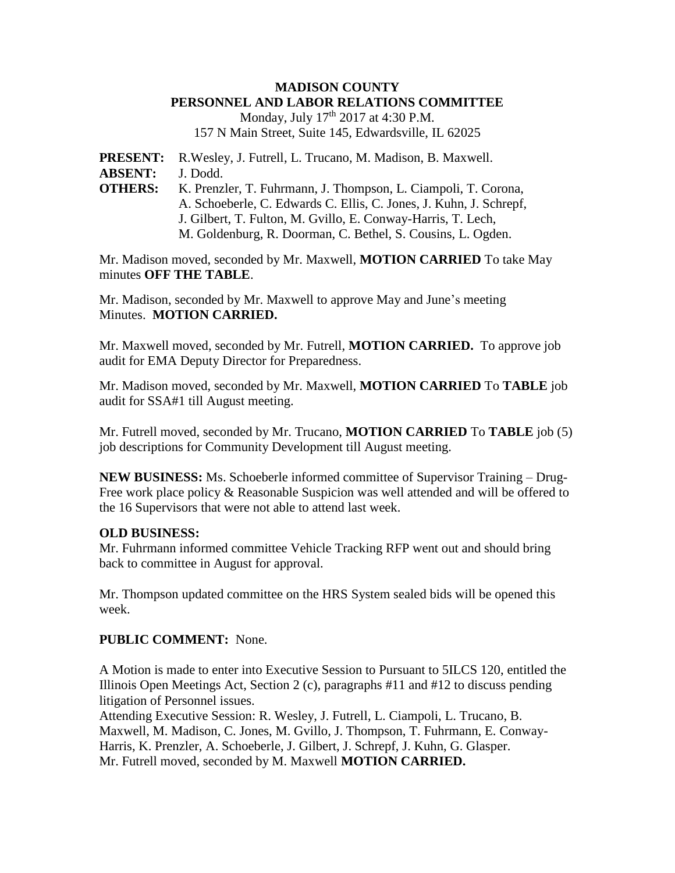## **MADISON COUNTY PERSONNEL AND LABOR RELATIONS COMMITTEE**

Monday, July 17<sup>th</sup> 2017 at 4:30 P.M. 157 N Main Street, Suite 145, Edwardsville, IL 62025

**PRESENT:** R.Wesley, J. Futrell, L. Trucano, M. Madison, B. Maxwell. **ABSENT:** J. Dodd. **OTHERS:** K. Prenzler, T. Fuhrmann, J. Thompson, L. Ciampoli, T. Corona, A. Schoeberle, C. Edwards C. Ellis, C. Jones, J. Kuhn, J. Schrepf, J. Gilbert, T. Fulton, M. Gvillo, E. Conway-Harris, T. Lech, M. Goldenburg, R. Doorman, C. Bethel, S. Cousins, L. Ogden.

Mr. Madison moved, seconded by Mr. Maxwell, **MOTION CARRIED** To take May minutes **OFF THE TABLE**.

Mr. Madison, seconded by Mr. Maxwell to approve May and June's meeting Minutes. **MOTION CARRIED.**

Mr. Maxwell moved, seconded by Mr. Futrell, **MOTION CARRIED.** To approve job audit for EMA Deputy Director for Preparedness.

Mr. Madison moved, seconded by Mr. Maxwell, **MOTION CARRIED** To **TABLE** job audit for SSA#1 till August meeting.

Mr. Futrell moved, seconded by Mr. Trucano, **MOTION CARRIED** To **TABLE** job (5) job descriptions for Community Development till August meeting.

**NEW BUSINESS:** Ms. Schoeberle informed committee of Supervisor Training – Drug-Free work place policy & Reasonable Suspicion was well attended and will be offered to the 16 Supervisors that were not able to attend last week.

## **OLD BUSINESS:**

Mr. Fuhrmann informed committee Vehicle Tracking RFP went out and should bring back to committee in August for approval.

Mr. Thompson updated committee on the HRS System sealed bids will be opened this week.

## **PUBLIC COMMENT:** None.

A Motion is made to enter into Executive Session to Pursuant to 5ILCS 120, entitled the Illinois Open Meetings Act, Section 2 (c), paragraphs #11 and #12 to discuss pending litigation of Personnel issues.

Attending Executive Session: R. Wesley, J. Futrell, L. Ciampoli, L. Trucano, B. Maxwell, M. Madison, C. Jones, M. Gvillo, J. Thompson, T. Fuhrmann, E. Conway-Harris, K. Prenzler, A. Schoeberle, J. Gilbert, J. Schrepf, J. Kuhn, G. Glasper. Mr. Futrell moved, seconded by M. Maxwell **MOTION CARRIED.**